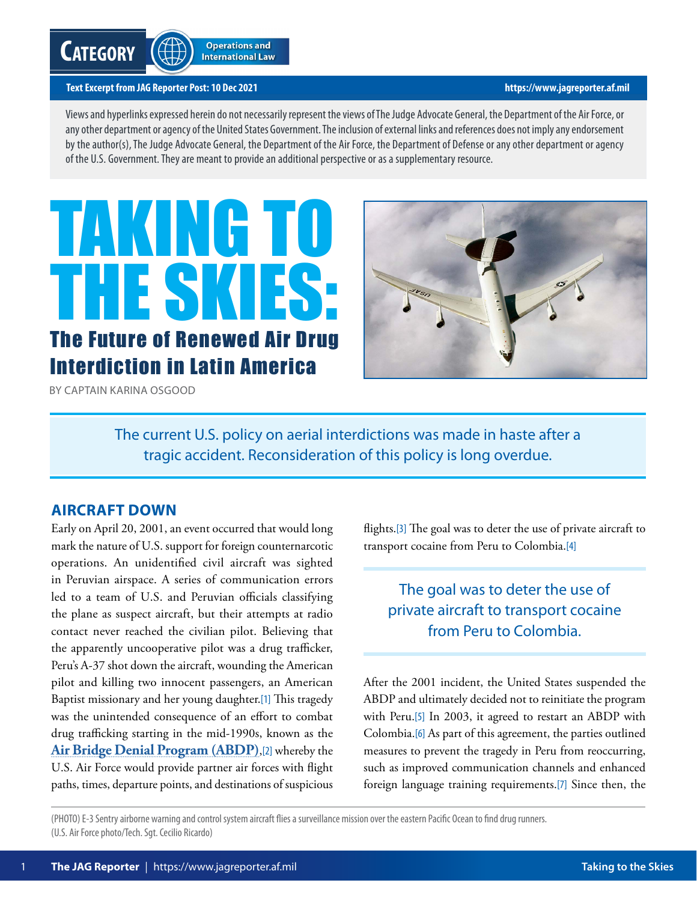# <span id="page-0-0"></span>**Category**

#### **Text Excerpt from JAG Reporter Post: 10 Dec 2021 <https://www.jagreporter.af.mil>**

Views and hyperlinks expressed herein do not necessarily represent the views of The Judge Advocate General, the Department of the Air Force, or any other department or agency of the United States Government. The inclusion of external links and references does not imply any endorsement by the author(s), The Judge Advocate General, the Department of the Air Force, the Department of Defense or any other department or agency of the U.S. Government. They are meant to provide an additional perspective or as a supplementary resource.

# TAKING TO THE SKIES: The Future of Renewed Air Drug Interdiction in Latin America



BY CAPTAIN KARINA OSGOOD

The current U.S. policy on aerial interdictions was made in haste after a tragic accident. Reconsideration of this policy is long overdue.

# **AIRCRAFT DOWN**

Early on April 20, 2001, an event occurred that would long mark the nature of U.S. support for foreign counternarcotic operations. An unidentified civil aircraft was sighted in Peruvian airspace. A series of communication errors led to a team of U.S. and Peruvian officials classifying the plane as suspect aircraft, but their attempts at radio contact never reached the civilian pilot. Believing that the apparently uncooperative pilot was a drug trafficker, Peru's A-37 shot down the aircraft, wounding the American pilot and killing two innocent passengers, an American Baptist missionary and her young daughter.[\[1\]](#page-4-0) This tragedy was the unintended consequence of an effort to combat drug trafficking starting in the mid-1990s, known as the **[Air Bridge Denial Program \(ABDP\)](https://www.gao.gov/products/gao-05-970)**,[\[2\]](#page-4-0) whereby the U.S. Air Force would provide partner air forces with flight paths, times, departure points, and destinations of suspicious

flights.[\[3\]](#page-4-0) The goal was to deter the use of private aircraft to transport cocaine from Peru to Colombia.[\[4\]](#page-4-0)

# The goal was to deter the use of private aircraft to transport cocaine from Peru to Colombia.

After the 2001 incident, the United States suspended the ABDP and ultimately decided not to reinitiate the program with Peru.[\[5\]](#page-4-0) In 2003, it agreed to restart an ABDP with Colombia.[\[6\]](#page-4-0) As part of this agreement, the parties outlined measures to prevent the tragedy in Peru from reoccurring, such as improved communication channels and enhanced foreign language training requirements.[\[7\]](#page-4-0) Since then, the

(PHOTO) E-3 Sentry airborne warning and control system aircraft flies a surveillance mission over the eastern Pacific Ocean to find drug runners. (U.S. Air Force photo/Tech. Sgt. Cecilio Ricardo)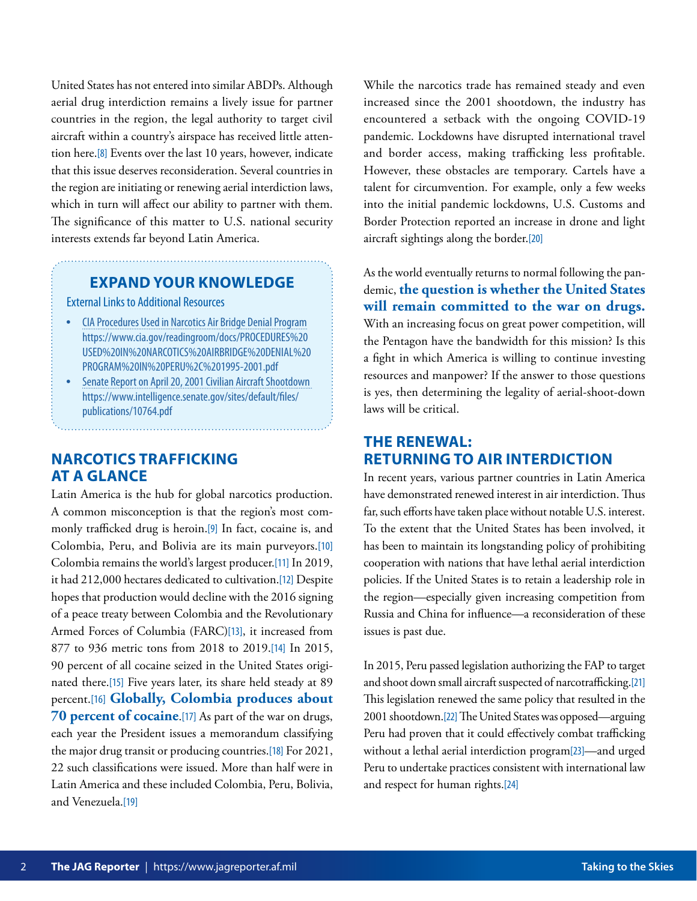<span id="page-1-0"></span>United States has not entered into similar ABDPs. Although aerial drug interdiction remains a lively issue for partner countries in the region, the legal authority to target civil aircraft within a country's airspace has received little attention here.[\[8\]](#page-4-0) Events over the last 10 years, however, indicate that this issue deserves reconsideration. Several countries in the region are initiating or renewing aerial interdiction laws, which in turn will affect our ability to partner with them. The significance of this matter to U.S. national security interests extends far beyond Latin America.

#### **EXPAND YOUR KNOWLEDGE**

External Links to Additional Resources

- [CIA Procedures Used in Narcotics Air Bridge Denial Program](https://www.cia.gov/readingroom/docs/PROCEDURES%20USED%20IN%20NARCOTICS%20AIRBRIDGE%20DENIAL%20PROGRAM%20IN%20PERU%2C%201995-2001.pdf) https://www.cia.gov/readingroom/docs/PROCEDURES%20 USED%20IN%20NARCOTICS%20AIRBRIDGE%20DENIAL%20 PROGRAM%20IN%20PERU%2C%201995-2001.pdf
- [Senate Report on April 20, 2001 Civilian Aircraft Shootdown](https://www.intelligence.senate.gov/sites/default/files/publications/10764.pdf)  https://www.intelligence.senate.gov/sites/default/files/ publications/10764.pdf

# **NARCOTICS TRAFFICKING AT A GLANCE**

Latin America is the hub for global narcotics production. A common misconception is that the region's most commonly trafficked drug is heroin.[\[9\]](#page-4-0) In fact, cocaine is, and Colombia, Peru, and Bolivia are its main purveyors.[\[10\]](#page-4-0) Colombia remains the world's largest producer.[\[11\]](#page-4-0) In 2019, it had 212,000 hectares dedicated to cultivation.[\[12\]](#page-4-0) Despite hopes that production would decline with the 2016 signing of a peace treaty between Colombia and the Revolutionary Armed Forces of Columbia (FARC)[\[13\]](#page-4-0), it increased from 877 to 936 metric tons from 2018 to 2019.[\[14\]](#page-4-0) In 2015, 90 percent of all cocaine seized in the United States originated there.[\[15\]](#page-4-0) Five years later, its share held steady at 89 percent.[\[16\]](#page-4-0) **Globally, Colombia produces about 70 percent of cocaine**.[\[17\]](#page-4-0) As part of the war on drugs, each year the President issues a memorandum classifying the major drug transit or producing countries.[\[18\]](#page-4-0) For 2021, 22 such classifications were issued. More than half were in Latin America and these included Colombia, Peru, Bolivia, and Venezuela.<sup>[\[19\]](#page-4-0)</sup>

While the narcotics trade has remained steady and even increased since the 2001 shootdown, the industry has encountered a setback with the ongoing COVID-19 pandemic. Lockdowns have disrupted international travel and border access, making trafficking less profitable. However, these obstacles are temporary. Cartels have a talent for circumvention. For example, only a few weeks into the initial pandemic lockdowns, U.S. Customs and Border Protection reported an increase in drone and light aircraft sightings along the border.[\[20\]](#page-4-0)

As the world eventually returns to normal following the pandemic, **the question is whether the United States will remain committed to the war on drugs.** With an increasing focus on great power competition, will the Pentagon have the bandwidth for this mission? Is this a fight in which America is willing to continue investing resources and manpower? If the answer to those questions is yes, then determining the legality of aerial-shoot-down laws will be critical.

### **THE RENEWAL: RETURNING TO AIR INTERDICTION**

In recent years, various partner countries in Latin America have demonstrated renewed interest in air interdiction. Thus far, such efforts have taken place without notable U.S. interest. To the extent that the United States has been involved, it has been to maintain its longstanding policy of prohibiting cooperation with nations that have lethal aerial interdiction policies. If the United States is to retain a leadership role in the region—especially given increasing competition from Russia and China for influence—a reconsideration of these issues is past due.

In 2015, Peru passed legislation authorizing the FAP to target and shoot down small aircraft suspected of narcotrafficking.[\[21\]](#page-4-0) This legislation renewed the same policy that resulted in the 2001 shootdown.[\[22\]](#page-4-0) The United States was opposed—arguing Peru had proven that it could effectively combat trafficking without a lethal aerial interdiction program[\[23\]](#page-4-0)—and urged Peru to undertake practices consistent with international law and respect for human rights.[\[24\]](#page-4-0)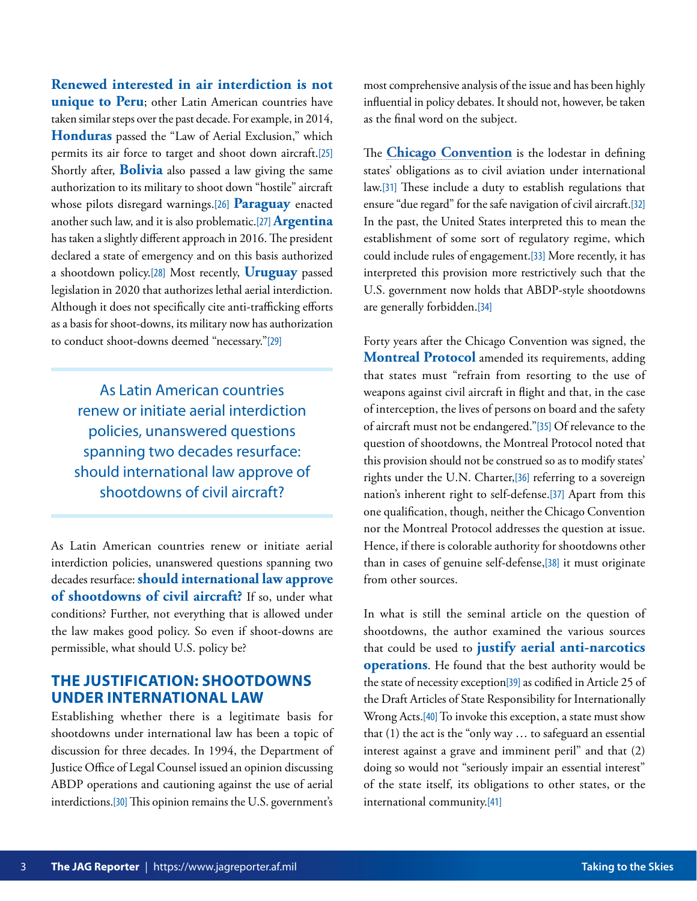<span id="page-2-0"></span>**Renewed interested in air interdiction is not unique to Peru**; other Latin American countries have taken similar steps over the past decade. For example, in 2014, **Honduras** passed the "Law of Aerial Exclusion," which permits its air force to target and shoot down aircraft.[\[25\]](#page-5-0) Shortly after, **Bolivia** also passed a law giving the same authorization to its military to shoot down "hostile" aircraft whose pilots disregard warnings.[\[26\]](#page-5-0) **Paraguay** enacted another such law, and it is also problematic.[\[27\]](#page-5-0) **Argentina** has taken a slightly different approach in 2016. The president declared a state of emergency and on this basis authorized a shootdown policy.[\[28\]](#page-5-0) Most recently, **Uruguay** passed legislation in 2020 that authorizes lethal aerial interdiction. Although it does not specifically cite anti-trafficking efforts as a basis for shoot-downs, its military now has authorization to conduct shoot-downs deemed "necessary."[\[29\]](#page-5-0)

As Latin American countries renew or initiate aerial interdiction policies, unanswered questions spanning two decades resurface: should international law approve of shootdowns of civil aircraft?

As Latin American countries renew or initiate aerial interdiction policies, unanswered questions spanning two decades resurface: **should international law approve of shootdowns of civil aircraft?** If so, under what conditions? Further, not everything that is allowed under the law makes good policy. So even if shoot-downs are permissible, what should U.S. policy be?

#### **THE JUSTIFICATION: SHOOTDOWNS UNDER INTERNATIONAL LAW**

Establishing whether there is a legitimate basis for shootdowns under international law has been a topic of discussion for three decades. In 1994, the Department of Justice Office of Legal Counsel issued an opinion discussing ABDP operations and cautioning against the use of aerial interdictions.[\[30\]](#page-5-0) This opinion remains the U.S. government's most comprehensive analysis of the issue and has been highly influential in policy debates. It should not, however, be taken as the final word on the subject.

The **[Chicago Convention](https://www.icao.int/publications/Pages/doc7300.aspx)** is the lodestar in defining states' obligations as to civil aviation under international law.[\[31\]](#page-5-0) These include a duty to establish regulations that ensure "due regard" for the safe navigation of civil aircraft.[\[32\]](#page-5-0) In the past, the United States interpreted this to mean the establishment of some sort of regulatory regime, which could include rules of engagement.[\[33\]](#page-5-0) More recently, it has interpreted this provision more restrictively such that the U.S. government now holds that ABDP-style shootdowns are generally forbidden.[\[34\]](#page-5-0)

Forty years after the Chicago Convention was signed, the **Montreal Protocol** amended its requirements, adding that states must "refrain from resorting to the use of weapons against civil aircraft in flight and that, in the case of interception, the lives of persons on board and the safety of aircraft must not be endangered."[\[35\]](#page-5-0) Of relevance to the question of shootdowns, the Montreal Protocol noted that this provision should not be construed so as to modify states' rights under the U.N. Charter,[\[36\]](#page-5-0) referring to a sovereign nation's inherent right to self-defense.[\[37\]](#page-5-0) Apart from this one qualification, though, neither the Chicago Convention nor the Montreal Protocol addresses the question at issue. Hence, if there is colorable authority for shootdowns other than in cases of genuine self-defense,[\[38\]](#page-5-0) it must originate from other sources.

In what is still the seminal article on the question of shootdowns, the author examined the various sources that could be used to **justify aerial anti-narcotics operations**. He found that the best authority would be the state of necessity exception[\[39\]](#page-5-0) as codified in Article 25 of the Draft Articles of State Responsibility for Internationally Wrong Acts.[\[40\]](#page-5-0) To invoke this exception, a state must show that (1) the act is the "only way … to safeguard an essential interest against a grave and imminent peril" and that (2) doing so would not "seriously impair an essential interest" of the state itself, its obligations to other states, or the international community.[\[41\]](#page-5-0)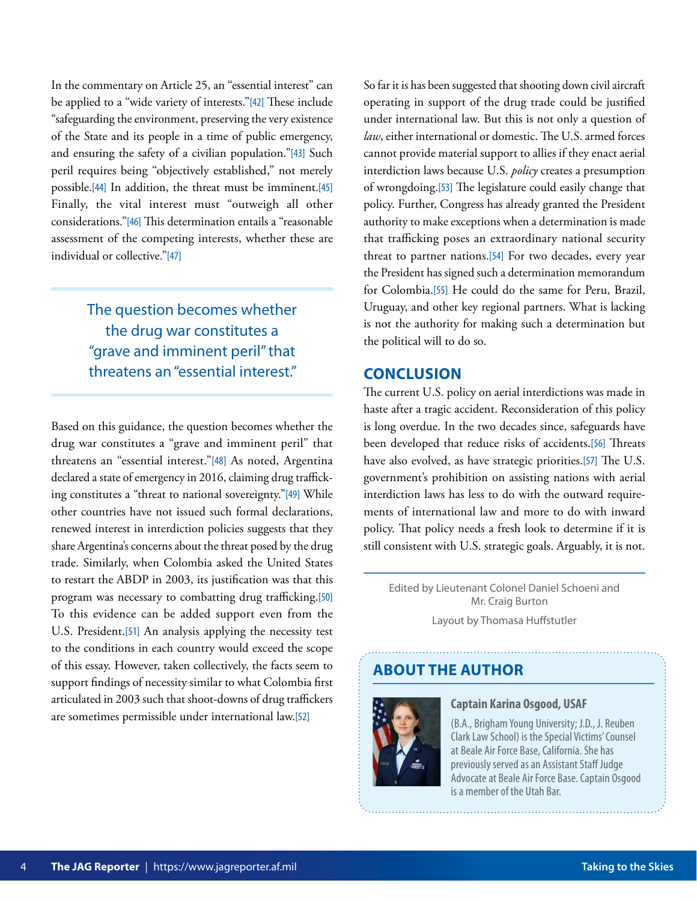<span id="page-3-0"></span>In the commentary on Article 25, an "essential interest" can be applied to a "wide variety of interests."[\[42\]](#page-5-0) These include "safeguarding the environment, preserving the very existence of the State and its people in a time of public emergency, and ensuring the safety of a civilian population."[\[43\]](#page-5-0) Such peril requires being "objectively established," not merely possible.[\[44\]](#page-5-0) In addition, the threat must be imminent.[\[45\]](#page-5-0) Finally, the vital interest must "outweigh all other considerations."[\[46\]](#page-5-0) This determination entails a "reasonable assessment of the competing interests, whether these are individual or collective."[\[47\]](#page-5-0)

> The question becomes whether the drug war constitutes a "grave and imminent peril" that threatens an "essential interest."

Based on this guidance, the question becomes whether the drug war constitutes a "grave and imminent peril" that threatens an "essential interest."[\[48\]](#page-5-0) As noted, Argentina declared a state of emergency in 2016, claiming drug trafficking constitutes a "threat to national sovereignty."[\[49\]](#page-5-0) While other countries have not issued such formal declarations, renewed interest in interdiction policies suggests that they share Argentina's concerns about the threat posed by the drug trade. Similarly, when Colombia asked the United States to restart the ABDP in 2003, its justification was that this program was necessary to combatting drug trafficking.[\[50\]](#page-5-0) To this evidence can be added support even from the U.S. President.[\[51\]](#page-6-0) An analysis applying the necessity test to the conditions in each country would exceed the scope of this essay. However, taken collectively, the facts seem to support findings of necessity similar to what Colombia first articulated in 2003 such that shoot-downs of drug traffickers are sometimes permissible under international law.[\[52\]](#page-6-0)

So far it is has been suggested that shooting down civil aircraft operating in support of the drug trade could be justified under international law. But this is not only a question of *law*, either international or domestic. The U.S. armed forces cannot provide material support to allies if they enact aerial interdiction laws because U.S. *policy* creates a presumption of wrongdoing.[\[53\]](#page-6-0) The legislature could easily change that policy. Further, Congress has already granted the President authority to make exceptions when a determination is made that trafficking poses an extraordinary national security threat to partner nations.[\[54\]](#page-6-0) For two decades, every year the President has signed such a determination memorandum for Colombia.[\[55\]](#page-6-0) He could do the same for Peru, Brazil, Uruguay, and other key regional partners. What is lacking is not the authority for making such a determination but the political will to do so.

#### **CONCLUSION**

The current U.S. policy on aerial interdictions was made in haste after a tragic accident. Reconsideration of this policy is long overdue. In the two decades since, safeguards have been developed that reduce risks of accidents.[\[56\]](#page-6-0) Threats have also evolved, as have strategic priorities.[\[57\]](#page-6-0) The U.S. government's prohibition on assisting nations with aerial interdiction laws has less to do with the outward requirements of international law and more to do with inward policy. That policy needs a fresh look to determine if it is still consistent with U.S. strategic goals. Arguably, it is not.

Edited by Lieutenant Colonel Daniel Schoeni and Mr. Craig Burton Layout by Thomasa Huffstutler

# **ABOUT THE AUTHOR**



#### **Captain Karina Osgood, USAF**

(B.A., Brigham Young University; J.D., J. Reuben Clark Law School) is the Special Victims' Counsel at Beale Air Force Base, California. She has previously served as an Assistant Staff Judge Advocate at Beale Air Force Base. Captain Osgood is a member of the Utah Bar.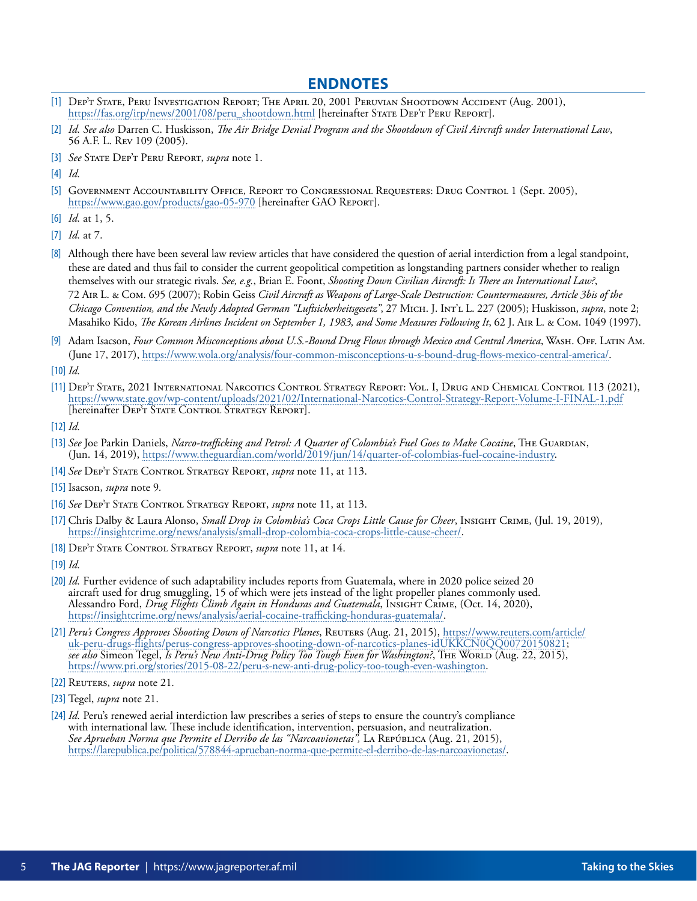#### **ENDNOTES**

- <span id="page-4-0"></span>[\[1\]](#page-0-0) Dep't State, Peru Investigation Report; The April 20, 2001 Peruvian Shootdown Accident (Aug. 2001), [https://fas.org/irp/news/2001/08/peru\\_shootdown.html](https://fas.org/irp/news/2001/08/peru_shootdown.html) [hereinafter STATE DEP'T PERU REPORT].
- [\[2\]](#page-0-0) *Id. See also* Darren C. Huskisson, *The Air Bridge Denial Program and the Shootdown of Civil Aircraft under International Law*, 56 A.F. L. Rev 109 (2005).
- [\[3\]](#page-0-0) *See* State Dep't Peru Report, *supra* note 1.

- [\[5\]](#page-0-0) Government Accountability Office, Report to Congressional Requesters: Drug Control 1 (Sept. 2005), <https://www.gao.gov/products/gao-05-970> [hereinafter GAO Report].
- [\[6\]](#page-0-0) *Id.* at 1, 5.
- [\[7\]](#page-0-0) *Id.* at 7.
- [\[8\]](#page-1-0) Although there have been several law review articles that have considered the question of aerial interdiction from a legal standpoint, these are dated and thus fail to consider the current geopolitical competition as longstanding partners consider whether to realign themselves with our strategic rivals. *See, e.g.*, Brian E. Foont, *Shooting Down Civilian Aircraft: Is There an International Law?*, 72 Air L. & Com. 695 (2007); Robin Geiss *Civil Aircraft as Weapons of Large-Scale Destruction: Countermeasures, Article 3bis of the Chicago Convention, and the Newly Adopted German "Luftsicherheitsgesetz"*, 27 Mich. J. Int'l L. 227 (2005); Huskisson, *supra*, note 2; Masahiko Kido, *The Korean Airlines Incident on September 1, 1983, and Some Measures Following It*, 62 J. AIR L. & COM. 1049 (1997).
- [\[9\]](#page-1-0) Adam Isacson, *Four Common Misconceptions about U.S.-Bound Drug Flows through Mexico and Central America*, WASH. OFF. LATIN AM. (June 17, 2017), [https://www.wola.org/analysis/four-common-misconceptions-u-s-bound-drug-flows-mexico-central-america/.](https://www.wola.org/analysis/four-common-misconceptions-u-s-bound-drug-flows-mexico-central-america)
- [\[10\]](#page-1-0) *Id.*
- [\[11\]](#page-1-0) Dep't State, 2021 International Narcotics Control Strategy Report: Vol. I, Drug and Chemical Control 113 (2021), <https://www.state.gov/wp-content/uploads/2021/02/International-Narcotics-Control-Strategy-Report-Volume-I-FINAL-1.pdf> [hereinafter DEP'T STATE CONTROL STRATEGY REPORT].
- [\[12\]](#page-1-0) *Id.*
- [\[13\]](#page-1-0) See Joe Parkin Daniels, *Narco-trafficking and Petrol: A Quarter of Colombia's Fuel Goes to Make Cocaine*, The Guardian, (Jun. 14, 2019),<https://www.theguardian.com/world/2019/jun/14/quarter-of-colombias-fuel-cocaine-industry>.
- [\[14\]](#page-1-0) *See* Dep't State Control Strategy Report, *supra* note 11, at 113.
- [\[15\]](#page-1-0) Isacson, *supra* note 9*.*
- [\[16\]](#page-1-0) *See* Dep't State Control Strategy Report, *supra* note 11, at 113.
- [\[17\]](#page-1-0) Chris Dalby & Laura Alonso, *Small Drop in Colombia's Coca Crops Little Cause for Cheer*, Insight Crime, (Jul. 19, 2019), <https://insightcrime.org/news/analysis/small-drop-colombia-coca-crops-little-cause-cheer/>.
- [\[18\]](#page-1-0) Dep't State Control Strategy Report, *supra* note 11, at 14.
- [\[19\]](#page-1-0) *Id.*
- [\[20\]](#page-1-0) *Id.* Further evidence of such adaptability includes reports from Guatemala, where in 2020 police seized 20 aircraft used for drug smuggling, 15 of which were jets instead of the light propeller planes commonly used. Alessandro Ford, *Drug Flights Climb Again in Honduras and Guatemala*, Insight Crime, (Oct. 14, 2020), [https://insightcrime.org/news/analysis/aerial-cocaine-trafficking-honduras-guatemala/.](https://insightcrime.org/news/analysis/aerial-cocaine-trafficking-honduras-guatemala/)
- [\[21\]](#page-1-0) Peru's Congress Approves Shooting Down of Narcotics Planes, REUTERS (Aug. 21, 2015), https://www.reuters.com/article/ [uk-peru-drugs-flights/perus-congress-approves-shooting-down-of-narcotics-planes-idUKKCN0QQ00720150821;](https://www.reuters.com/article/uk-peru-drugs-flights/perus-congress-approves-shooting-down-of-narcotics-planes-idUKKCN0QQ00720150821)  *see also* Simeon Tegel, *Is Peru's New Anti-Drug Policy Too Tough Even for Washington?*, The World (Aug. 22, 2015), [https://www.pri.org/stories/2015-08-22/peru-s-new-anti-drug-policy-too-tough-even-washington.](https://www.pri.org/stories/2015-08-22/peru-s-new-anti-drug-policy-too-tough-even-washington)
- [\[22\]](#page-1-0) Reuters, *supra* note 21*.*
- [\[23\]](#page-1-0) Tegel, *supra* note 21.
- [\[24\]](#page-1-0) *Id.* Peru's renewed aerial interdiction law prescribes a series of steps to ensure the country's compliance with international law. These include identification, intervention, persuasion, and neutralization. *See Aprueban Norma que Permite el Derribo de las "Narcoavionetas",* La República (Aug. 21, 2015), [https://larepublica.pe/politica/578844-aprueban-norma-que-permite-el-derribo-de-las-narcoavionetas/.](https://larepublica.pe/politica/578844-aprueban-norma-que-permite-el-derribo-de-las-narcoavionetas/)

[<sup>\[4\]</sup>](#page-0-0) *Id.*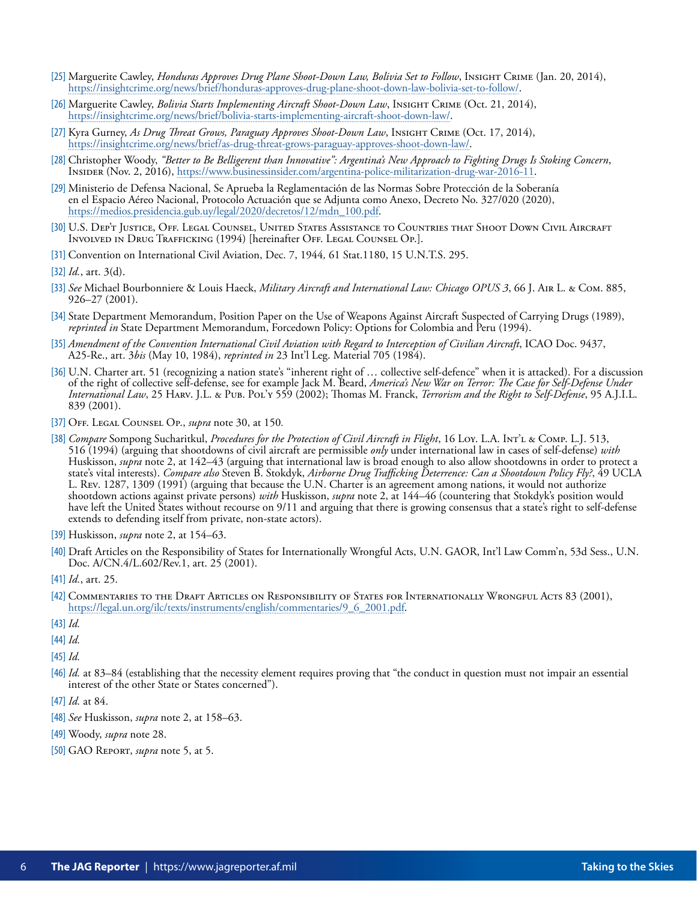- <span id="page-5-0"></span>[\[25\]](#page-2-0) Marguerite Cawley, *Honduras Approves Drug Plane Shoot-Down Law, Bolivia Set to Follow*, Insight Crime (Jan. 20, 2014), <https://insightcrime.org/news/brief/honduras-approves-drug-plane-shoot-down-law-bolivia-set-to-follow/>.
- [\[26\]](#page-2-0) Marguerite Cawley, *Bolivia Starts Implementing Aircraft Shoot-Down Law*, Insight Crime (Oct. 21, 2014), [https://insightcrime.org/news/brief/bolivia-starts-implementing-aircraft-shoot-down-law/.](https://insightcrime.org/news/brief/bolivia-starts-implementing-aircraft-shoot-down-law/)
- [\[27\]](#page-2-0) Kyra Gurney, *As Drug Threat Grows, Paraguay Approves Shoot-Down Law*, Insight Crime (Oct. 17, 2014), <https://insightcrime.org/news/brief/as-drug-threat-grows-paraguay-approves-shoot-down-law/>.
- [\[28\]](#page-2-0) Christopher Woody, *"Better to Be Belligerent than Innovative": Argentina's New Approach to Fighting Drugs Is Stoking Concern*, Insider (Nov. 2, 2016), <https://www.businessinsider.com/argentina-police-militarization-drug-war-2016-11>.
- [\[29\]](#page-2-0) Ministerio de Defensa Nacional, Se Aprueba la Reglamentación de las Normas Sobre Protección de la Soberanía en el Espacio Aéreo Nacional, Protocolo Actuación que se Adjunta como Anexo, Decreto No. 327/020 (2020), [https://medios.presidencia.gub.uy/legal/2020/decretos/12/mdn\\_100.pdf.](https://medios.presidencia.gub.uy/legal/2020/decretos/12/mdn_100.pdf)
- [\[30\]](#page-2-0) U.S. Dep't Justice, Off. Legal Counsel, United States Assistance to Countries that Shoot Down Civil Aircraft Involved in Drug Trafficking (1994) [hereinafter Off. Legal Counsel Op.].
- [\[31\]](#page-2-0) Convention on International Civil Aviation, Dec. 7, 1944*,* 61 Stat.1180, 15 U.N.T.S. 295.

- [\[33\]](#page-2-0) *See* Michael Bourbonniere & Louis Haeck, *Military Aircraft and International Law: Chicago OPUS 3*, 66 J. Air L. & Com. 885, 926–27 (2001).
- [\[34\]](#page-2-0) State Department Memorandum, Position Paper on the Use of Weapons Against Aircraft Suspected of Carrying Drugs (1989), *reprinted in* State Department Memorandum, Forcedown Policy: Options for Colombia and Peru (1994).
- [\[35\]](#page-2-0) *Amendment of the Convention International Civil Aviation with Regard to Interception of Civilian Aircraft*, ICAO Doc. 9437, A25-Re., art. 3*bis* (May 10, 1984), *reprinted in* 23 Int'l Leg. Material 705 (1984).
- [\[36\]](#page-2-0) U.N. Charter art. 51 (recognizing a nation state's "inherent right of ... collective self-defence" when it is attacked). For a discussion of the right of collective self-defense, see for example Jack M. Beard, *America's New War on Terror: The Case for Self-Defense Under International Law*, 25 Harv. J.L. & Pub. Pol'y 559 (2002); Thomas M. Franck, *Terrorism and the Right to Self-Defense*, 95 A.J.I.L. 839 (2001).
- [\[37\]](#page-2-0) Off. Legal Counsel Op., *supra* note 30, at 150*.*
- [\[38\]](#page-2-0) *Compare* Sompong Sucharitkul, *Procedures for the Protection of Civil Aircraft in Flight*, 16 Loy. L.A. Int'l & Comp. L.J. 513, 516 (1994) (arguing that shootdowns of civil aircraft are permissible *only* under international law in cases of self-defense) *with*  Huskisson, *supra* note 2, at 142–43 (arguing that international law is broad enough to also allow shootdowns in order to protect a state's vital interests). *Compare also* Steven B. Stokdyk, *Airborne Drug Trafficking Deterrence: Can a Shootdown Policy Fly?*, 49 UCLA L. Rev. 1287, 1309 (1991) (arguing that because the U.N. Charter is an agreement among nations, it would not authorize shootdown actions against private persons) *with* Huskisson, *supra* note 2, at 144–46 (countering that Stokdyk's position would have left the United States without recourse on 9/11 and arguing that there is growing consensus that a state's right to self-defense extends to defending itself from private, non-state actors).
- [\[39\]](#page-2-0) Huskisson, *supra* note 2, at 154–63.
- [\[40\]](#page-2-0) Draft Articles on the Responsibility of States for Internationally Wrongful Acts, U.N. GAOR, Int'l Law Comm'n, 53d Sess., U.N. Doc. A/CN.4/L.602/Rev.1, art. 25 (2001).
- [\[41\]](#page-2-0) *Id.*, art. 25.
- [\[42\]](#page-3-0) Commentaries to the Draft Articles on Responsibility of States for Internationally Wrongful Acts 83 (2001), [https://legal.un.org/ilc/texts/instruments/english/commentaries/9\\_6\\_2001.pdf](https://legal.un.org/ilc/texts/instruments/english/commentaries/9_6_2001.pdf).
- [\[43\]](#page-3-0) *Id.*
- [\[44\]](#page-3-0) *Id.*
- [\[45\]](#page-3-0) *Id.*
- [\[46\]](#page-3-0) *Id.* at 83–84 (establishing that the necessity element requires proving that "the conduct in question must not impair an essential interest of the other State or States concerned").
- [\[47\]](#page-3-0) *Id.* at 84.
- [\[48\]](#page-3-0) *See* Huskisson, *supra* note 2, at 158–63.
- [\[49\]](#page-3-0) Woody, *supra* note 28.
- [\[50\]](#page-3-0) GAO Report, *supra* note 5, at 5.

[<sup>\[32\]</sup>](#page-2-0) *Id.*, art. 3(d).